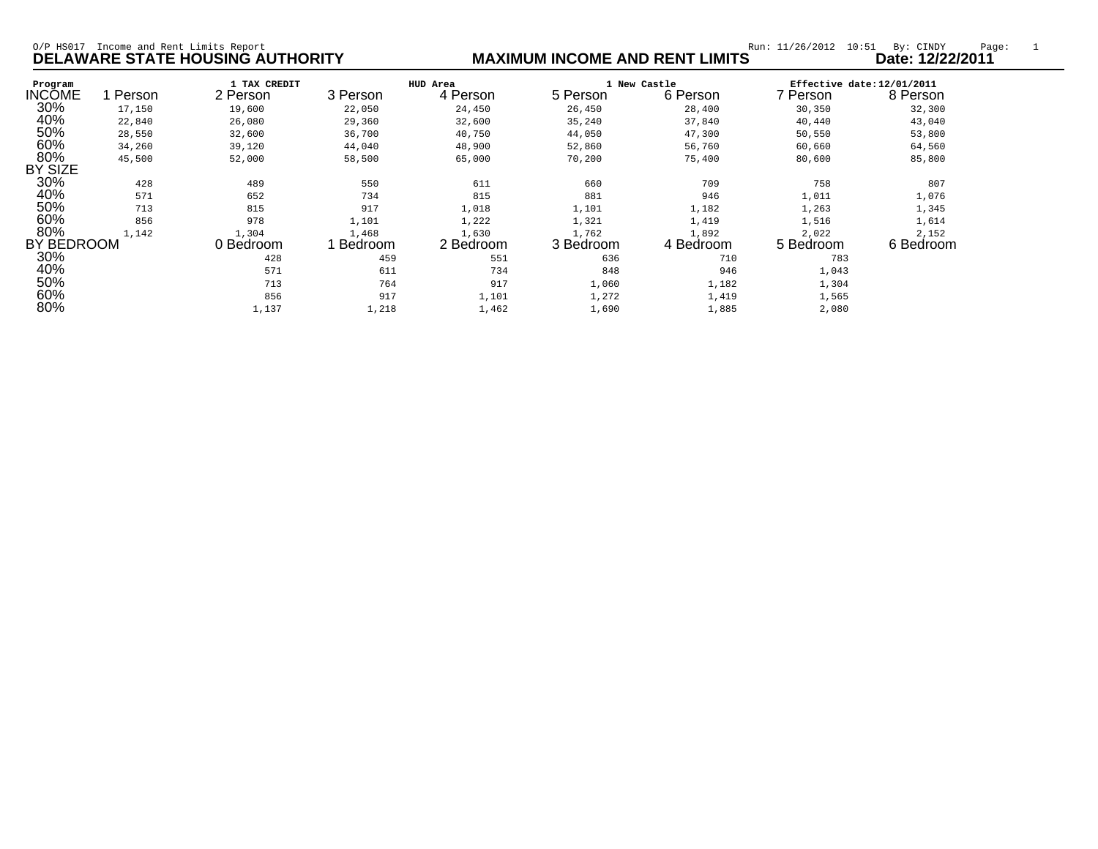| Income and Rent Limits Report<br>$O/P$ HS017<br><b>DELAWARE STATE HOUSING AUTHORITY</b> |        |                          |                                  | Run: 11/26/2012<br>10:51<br>By: CINDY<br>Date: 12/22/2011<br><b>MAXIMUM INCOME AND RENT LIMITS</b> |                                      |                    |                                                    |                    |
|-----------------------------------------------------------------------------------------|--------|--------------------------|----------------------------------|----------------------------------------------------------------------------------------------------|--------------------------------------|--------------------|----------------------------------------------------|--------------------|
| Program<br><b>INCOME</b>                                                                | Person | 1 TAX CREDIT<br>2 Person | HUD Area<br>4 Person<br>3 Person |                                                                                                    | 1 New Castle<br>5 Person<br>6 Person |                    | Effective date: 12/01/2011<br>7 Person<br>8 Person |                    |
| 30%                                                                                     | 17,150 | 19,600                   | 22,050                           | 24,450                                                                                             | 26,450                               | 28,400             | 30,350                                             | 32,300             |
| 40%                                                                                     | 22,840 | 26,080                   | 29,360                           | 32,600                                                                                             | 35,240                               | 37,840             | 40,440                                             | 43,040             |
| 50%                                                                                     | 28,550 | 32,600                   | 36,700                           | 40,750                                                                                             | 44,050                               | 47,300             | 50,550                                             | 53,800             |
| 60%                                                                                     | 34,260 | 39,120                   | 44,040                           | 48,900                                                                                             | 52,860                               | 56,760             | 60,660                                             | 64,560             |
| 80%<br><b>BY SIZE</b>                                                                   | 45,500 | 52,000                   | 58,500                           | 65,000                                                                                             | 70,200                               | 75,400             | 80,600                                             | 85,800             |
| 30%                                                                                     | 428    | 489                      | 550                              | 611                                                                                                | 660                                  | 709                | 758                                                | 807                |
| 40%                                                                                     | 571    | 652                      | 734                              | 815                                                                                                | 881                                  | 946                | 1,011                                              | 1,076              |
| 50%                                                                                     | 713    | 815                      | 917                              | 1,018                                                                                              | 1,101                                | 1,182              | 1,263                                              | 1,345              |
| 60%                                                                                     | 856    | 978                      | 1,101                            | 1,222                                                                                              | 1,321                                | 1,419              | 1,516                                              | 1,614              |
| 80%<br>BY BEDROOM                                                                       | 1,142  | 1,304<br>0 Bedroom       | 1,468<br>Bedroom                 | 1,630<br>2 Bedroom                                                                                 | 1,762<br>3 Bedroom                   | 1,892<br>4 Bedroom | 2,022<br>5 Bedroom                                 | 2,152<br>6 Bedroom |
| 30%                                                                                     |        | 428                      | 459                              | 551                                                                                                | 636                                  | 710                | 783                                                |                    |
| 40%                                                                                     |        | 571                      | 611                              | 734                                                                                                | 848                                  | 946                | 1,043                                              |                    |
| 50%                                                                                     |        | 713                      | 764                              | 917                                                                                                | 1,060                                | 1,182              | 1,304                                              |                    |
| 60%                                                                                     |        | 856                      | 917                              | 1,101                                                                                              | 1,272                                | 1,419              | 1,565                                              |                    |
| 80%                                                                                     |        | 1,137                    | 1,218                            | 1,462                                                                                              | 1,690                                | 1,885              | 2,080                                              |                    |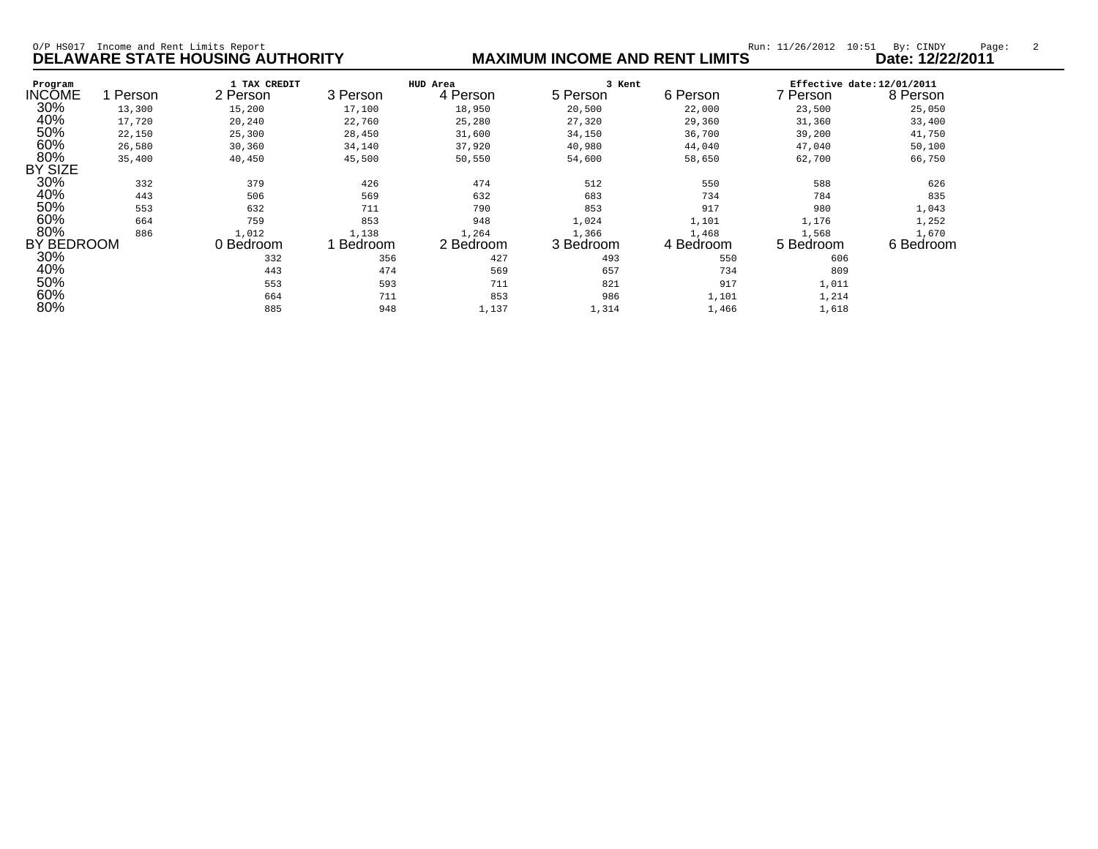| Income and Rent Limits Report<br>$O/P$ HS017<br><b>DELAWARE STATE HOUSING AUTHORITY</b> |        |                          |                  |                      | <b>MAXIMUM INCOME AND RENT LIMITS</b> | Run: 11/26/2012<br>10:51 | By: CINDY<br>Page:<br>Date: 12/22/2011 |                    |  |
|-----------------------------------------------------------------------------------------|--------|--------------------------|------------------|----------------------|---------------------------------------|--------------------------|----------------------------------------|--------------------|--|
| Program<br><b>INCOME</b>                                                                | Person | 1 TAX CREDIT<br>2 Person | 3 Person         | HUD Area<br>4 Person | 3 Kent<br>5 Person                    | 6 Person                 | Effective date: 12/01/2011<br>7 Person | 8 Person           |  |
| 30%                                                                                     | 13,300 | 15,200                   | 17,100           | 18,950               | 20,500                                | 22,000                   | 23,500                                 | 25,050             |  |
| 40%                                                                                     | 17,720 | 20,240                   | 22,760           | 25,280               | 27,320                                | 29,360                   | 31,360                                 | 33,400             |  |
| 50%                                                                                     | 22,150 | 25,300                   | 28,450           | 31,600               | 34,150                                | 36,700                   | 39,200                                 | 41,750             |  |
| 60%                                                                                     | 26,580 | 30,360                   | 34,140           | 37,920               | 40,980                                | 44,040                   | 47,040                                 | 50,100             |  |
| 80%<br>BY SIZE                                                                          | 35,400 | 40,450                   | 45,500           | 50,550               | 54,600                                | 58,650                   | 62,700                                 | 66,750             |  |
| 30%                                                                                     | 332    | 379                      | 426              | 474                  | 512                                   | 550                      | 588                                    | 626                |  |
| 40%                                                                                     | 443    | 506                      | 569              | 632                  | 683                                   | 734                      | 784                                    | 835                |  |
| 50%                                                                                     | 553    | 632                      | 711              | 790                  | 853                                   | 917                      | 980                                    | 1,043              |  |
| 60%                                                                                     | 664    | 759                      | 853              | 948                  | 1,024                                 | 1,101                    | 1,176                                  | 1,252              |  |
| 80%<br>BY BEDROOM                                                                       | 886    | 1,012<br>0 Bedroom       | 1,138<br>Bedroom | 1,264<br>2 Bedroom   | 1,366<br>3 Bedroom                    | 1,468<br>4 Bedroom       | 1,568<br>5 Bedroom                     | 1,670<br>6 Bedroom |  |
| 30%                                                                                     |        | 332                      | 356              | 427                  | 493                                   | 550                      | 606                                    |                    |  |
| 40%                                                                                     |        | 443                      | 474              | 569                  | 657                                   | 734                      | 809                                    |                    |  |
| 50%                                                                                     |        | 553                      | 593              | 711                  | 821                                   | 917                      | 1,011                                  |                    |  |
| 60%                                                                                     |        | 664                      | 711              | 853                  | 986                                   | 1,101                    | 1,214                                  |                    |  |
| 80%                                                                                     |        | 885                      | 948              | 1,137                | 1,314                                 | 1,466                    | 1,618                                  |                    |  |